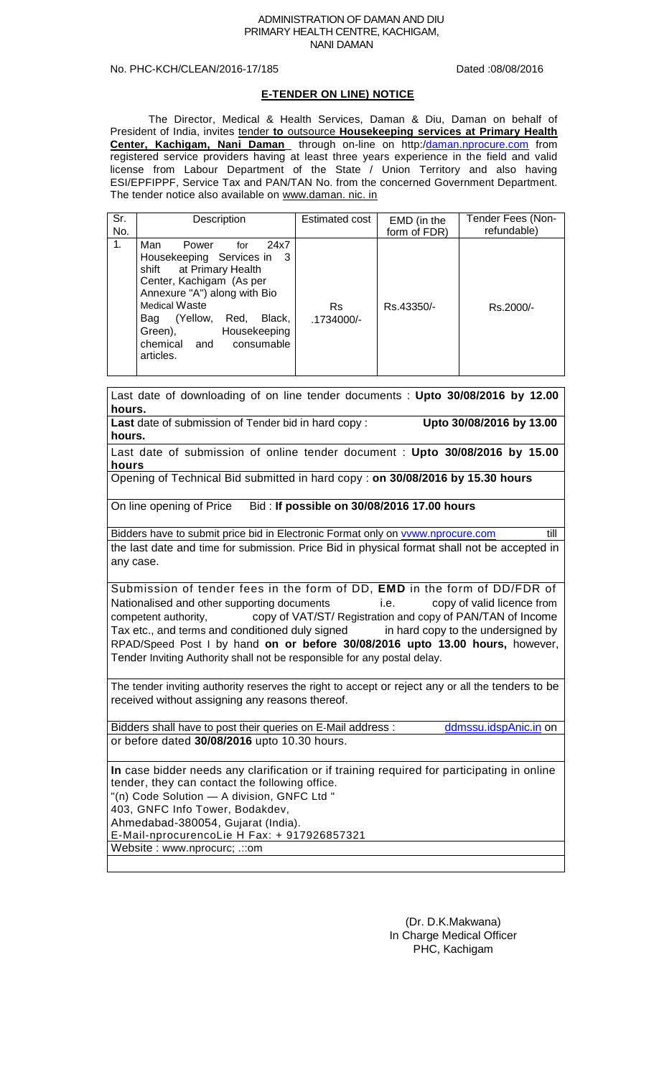#### ADMINISTRATION OF DAMAN AND DIU PRIMARY HEALTH CENTRE, KACHIGAM, NANI DAMAN

## No. PHC-KCH/CLEAN/2016-17/185 Dated :08/08/2016

## **E-TENDER ON LINE) NOTICE**

The Director, Medical & Health Services, Daman & Diu, Daman on behalf of President of India, invites tender **to** outsource **Housekeeping services at Primary Health**  Center, Kachigam, Nani Daman through on-line on http:[/daman.nprocure.com](http://daman.nprocure.com/)</u> from registered service providers having at least three years experience in the field and valid license from Labour Department of the State / Union Territory and also having ESI/EPFIPPF, Service Tax and PAN/TAN No. from the concerned Government Department. The tender notice also available on www.daman. nic. in

| Sr. | Description                                                                                                                                                                                                                                                                         | Estimated cost      | EMD (in the  | Tender Fees (Non- |
|-----|-------------------------------------------------------------------------------------------------------------------------------------------------------------------------------------------------------------------------------------------------------------------------------------|---------------------|--------------|-------------------|
| No. |                                                                                                                                                                                                                                                                                     |                     | form of FDR) | refundable)       |
| 1.  | Man<br>24x7<br>Power<br>for<br>Housekeeping Services in 3<br>shift at Primary Health<br>Center, Kachigam (As per<br>Annexure "A") along with Bio<br><b>Medical Waste</b><br>(Yellow,<br>Black,<br>Red,<br>Bag<br>Green),<br>Housekeeping<br>chemical and<br>consumable<br>articles. | Rs.<br>$.1734000/-$ | Rs.43350/-   | Rs.2000/-         |

Last date of downloading of on line tender documents : **Upto 30/08/2016 by 12.00 hours. Last** date of submission of Tender bid in hard copy : **Upto 30/08/2016 by 13.00 hours.** Last date of submission of online tender document : **Upto 30/08/2016 by 15.00 hours** Opening of Technical Bid submitted in hard copy : **on 30/08/2016 by 15.30 hours** On line opening of Price Bid : **If possible on 30/08/2016 17.00 hours** Bidders have to submit price bid in Electronic Format only on **vvww.nprocure.com** till the last date and time for submission. Price Bid in physical format shall not be accepted in any case. Submission of tender fees in the form of DD, **EMD** in the form of DD/FDR of Nationalised and other supporting documents i.e. copy of valid licence from competent authority, copy of VAT/ST/ Registration and copy of PAN/TAN of Income Tax etc., and terms and conditioned duly signed in hard copy to the undersigned by RPAD/Speed Post I by hand **on or before 30/08/2016 upto 13.00 hours,** however, Tender Inviting Authority shall not be responsible for any postal delay. The tender inviting authority reserves the right to accept or reject any or all the tenders to be received without assigning any reasons thereof. Bidders shall have to post their queries on E-Mail address : [ddmssu.idspAnic.in](http://ddmssu.idspanic.in/) on or before dated **30/08/2016** upto 10.30 hours.

**In** case bidder needs any clarification or if training required for participating in online tender, they can contact the following office. "(n) Code Solution — A division, GNFC Ltd " 403, GNFC Info Tower, Bodakdev, Ahmedabad-380054, Gujarat (India). E-Mail-nprocurencoLie H Fax: + 917926857321 Website : www.nprocurc; .::om

> (Dr. D.K.Makwana) In Charge Medical Officer PHC, Kachigam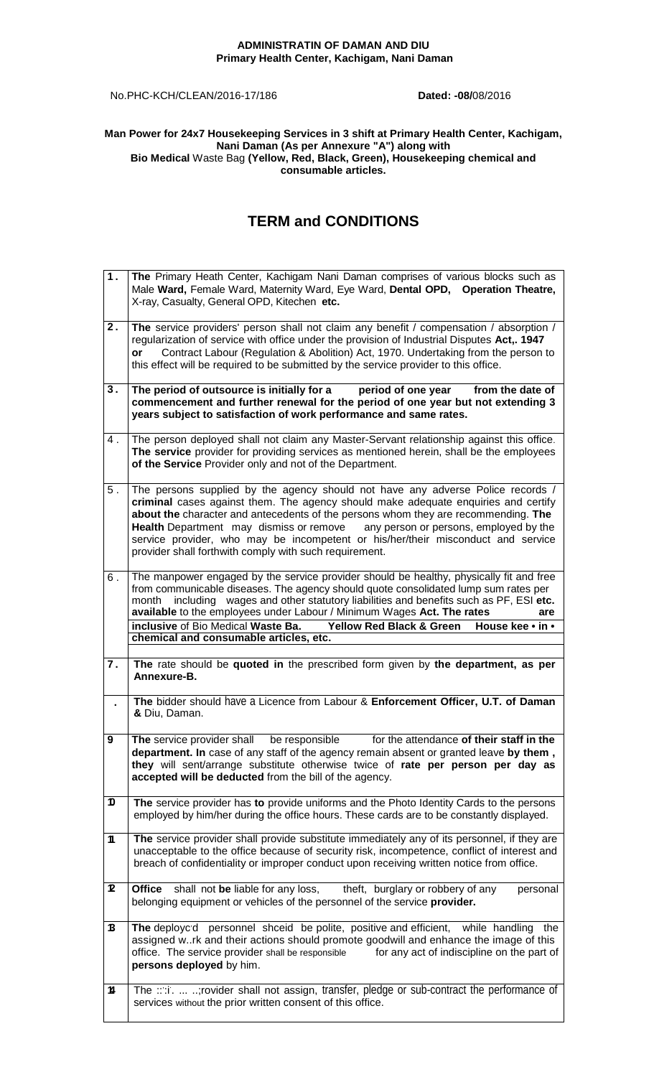## **ADMINISTRATIN OF DAMAN AND DIU Primary Health Center, Kachigam, Nani Daman**

No.PHC-KCH/CLEAN/2016-17/186 **Dated: -08/**08/2016

## **Man Power for 24x7 Housekeeping Services in 3 shift at Primary Health Center, Kachigam, Nani Daman (As per Annexure "A") along with Bio Medical** Waste Bag **(Yellow, Red, Black, Green), Housekeeping chemical and consumable articles.**

## **TERM and CONDITIONS**

| 1.    | The Primary Heath Center, Kachigam Nani Daman comprises of various blocks such as<br>Male Ward, Female Ward, Maternity Ward, Eye Ward, Dental OPD, Operation Theatre,<br>X-ray, Casualty, General OPD, Kitechen etc.                                                                                                                                                                                                                                                                           |
|-------|------------------------------------------------------------------------------------------------------------------------------------------------------------------------------------------------------------------------------------------------------------------------------------------------------------------------------------------------------------------------------------------------------------------------------------------------------------------------------------------------|
| 2.    | The service providers' person shall not claim any benefit / compensation / absorption /<br>regularization of service with office under the provision of Industrial Disputes Act,. 1947<br>Contract Labour (Regulation & Abolition) Act, 1970. Undertaking from the person to<br>or<br>this effect will be required to be submitted by the service provider to this office.                                                                                                                     |
| 3.    | The period of outsource is initially for a<br>period of one year<br>from the date of<br>commencement and further renewal for the period of one year but not extending 3<br>years subject to satisfaction of work performance and same rates.                                                                                                                                                                                                                                                   |
| 4.    | The person deployed shall not claim any Master-Servant relationship against this office.<br>The service provider for providing services as mentioned herein, shall be the employees<br>of the Service Provider only and not of the Department.                                                                                                                                                                                                                                                 |
| $5$ . | The persons supplied by the agency should not have any adverse Police records /<br>criminal cases against them. The agency should make adequate enquiries and certify<br>about the character and antecedents of the persons whom they are recommending. The<br>Health Department may dismiss or remove<br>any person or persons, employed by the<br>service provider, who may be incompetent or his/her/their misconduct and service<br>provider shall forthwith comply with such requirement. |
| 6.    | The manpower engaged by the service provider should be healthy, physically fit and free<br>from communicable diseases. The agency should quote consolidated lump sum rates per<br>including wages and other statutory liabilities and benefits such as PF, ESI etc.<br>month<br>available to the employees under Labour / Minimum Wages Act. The rates<br>are<br>inclusive of Bio Medical Waste Ba.<br><b>Yellow Red Black &amp; Green</b><br>House kee • in •                                 |
|       | chemical and consumable articles, etc.                                                                                                                                                                                                                                                                                                                                                                                                                                                         |
| 7.    | The rate should be quoted in the prescribed form given by the department, as per<br>Annexure-B.                                                                                                                                                                                                                                                                                                                                                                                                |
| ä,    | The bidder should have a Licence from Labour & Enforcement Officer, U.T. of Daman<br>& Diu, Daman.                                                                                                                                                                                                                                                                                                                                                                                             |
| 9     | The service provider shall<br>be responsible<br>for the attendance of their staff in the<br><b>department. In</b> case of any staff of the agency remain absent or granted leave by them,<br>they will sent/arrange substitute otherwise twice of rate per person per day as<br>accepted will be deducted from the bill of the agency.                                                                                                                                                         |
| D     | The service provider has to provide uniforms and the Photo Identity Cards to the persons<br>employed by him/her during the office hours. These cards are to be constantly displayed.                                                                                                                                                                                                                                                                                                           |
| 11    | The service provider shall provide substitute immediately any of its personnel, if they are<br>unacceptable to the office because of security risk, incompetence, conflict of interest and<br>breach of confidentiality or improper conduct upon receiving written notice from office.                                                                                                                                                                                                         |
| 2     | shall not be liable for any loss,<br>theft, burglary or robbery of any<br>Office<br>personal<br>belonging equipment or vehicles of the personnel of the service provider.                                                                                                                                                                                                                                                                                                                      |
| 13    | The deployc'd personnel shceid be polite, positive and efficient, while handling<br>the<br>assigned wrk and their actions should promote goodwill and enhance the image of this<br>for any act of indiscipline on the part of<br>office. The service provider shall be responsible<br>persons deployed by him.                                                                                                                                                                                 |
| 11    | The ::::i:  ;rovider shall not assign, transfer, pledge or sub-contract the performance of<br>services without the prior written consent of this office.                                                                                                                                                                                                                                                                                                                                       |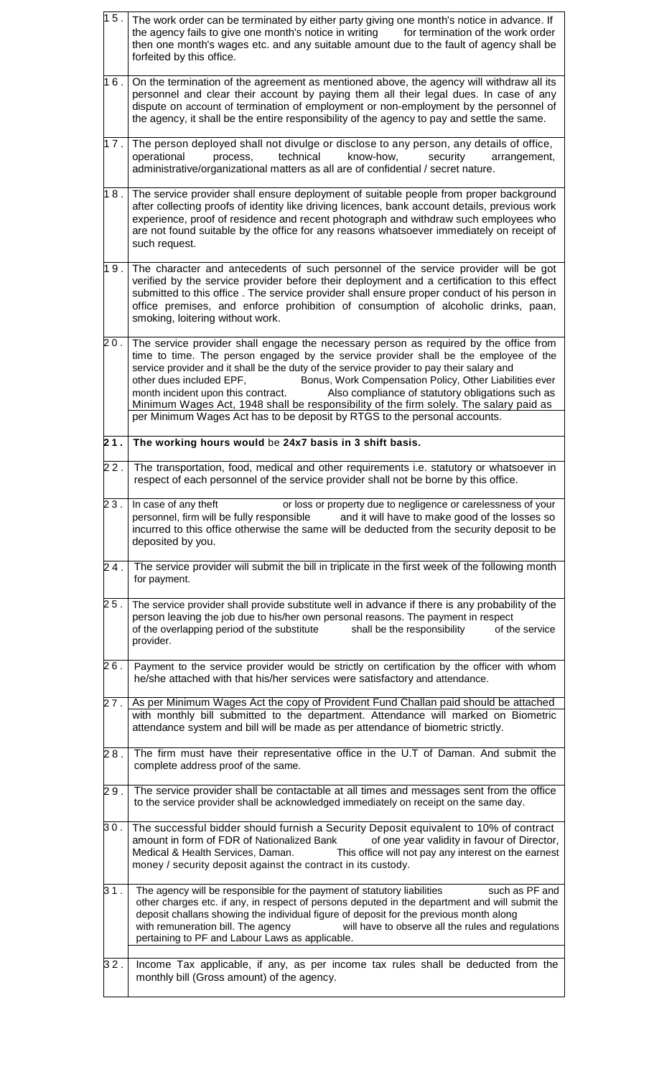| 15. | The work order can be terminated by either party giving one month's notice in advance. If<br>the agency fails to give one month's notice in writing<br>for termination of the work order<br>then one month's wages etc. and any suitable amount due to the fault of agency shall be<br>forfeited by this office.                                                                                                                                                                                                                                                                                                                    |
|-----|-------------------------------------------------------------------------------------------------------------------------------------------------------------------------------------------------------------------------------------------------------------------------------------------------------------------------------------------------------------------------------------------------------------------------------------------------------------------------------------------------------------------------------------------------------------------------------------------------------------------------------------|
| 16. | On the termination of the agreement as mentioned above, the agency will withdraw all its<br>personnel and clear their account by paying them all their legal dues. In case of any<br>dispute on account of termination of employment or non-employment by the personnel of<br>the agency, it shall be the entire responsibility of the agency to pay and settle the same.                                                                                                                                                                                                                                                           |
| 17. | The person deployed shall not divulge or disclose to any person, any details of office,<br>technical<br>know-how,<br>operational<br>process,<br>security<br>arrangement,<br>administrative/organizational matters as all are of confidential / secret nature.                                                                                                                                                                                                                                                                                                                                                                       |
| 18. | The service provider shall ensure deployment of suitable people from proper background<br>after collecting proofs of identity like driving licences, bank account details, previous work<br>experience, proof of residence and recent photograph and withdraw such employees who<br>are not found suitable by the office for any reasons whatsoever immediately on receipt of<br>such request.                                                                                                                                                                                                                                      |
| 19. | The character and antecedents of such personnel of the service provider will be got<br>verified by the service provider before their deployment and a certification to this effect<br>submitted to this office . The service provider shall ensure proper conduct of his person in<br>office premises, and enforce prohibition of consumption of alcoholic drinks, paan,<br>smoking, loitering without work.                                                                                                                                                                                                                        |
| 20. | The service provider shall engage the necessary person as required by the office from<br>time to time. The person engaged by the service provider shall be the employee of the<br>service provider and it shall be the duty of the service provider to pay their salary and<br>other dues included EPF,<br>Bonus, Work Compensation Policy, Other Liabilities ever<br>month incident upon this contract.<br>Also compliance of statutory obligations such as<br>Minimum Wages Act, 1948 shall be responsibility of the firm solely. The salary paid as<br>per Minimum Wages Act has to be deposit by RTGS to the personal accounts. |
| 21. | The working hours would be 24x7 basis in 3 shift basis.                                                                                                                                                                                                                                                                                                                                                                                                                                                                                                                                                                             |
| 22. | The transportation, food, medical and other requirements i.e. statutory or whatsoever in<br>respect of each personnel of the service provider shall not be borne by this office.                                                                                                                                                                                                                                                                                                                                                                                                                                                    |
| 23. | or loss or property due to negligence or carelessness of your<br>In case of any theft<br>personnel, firm will be fully responsible<br>and it will have to make good of the losses so<br>incurred to this office otherwise the same will be deducted from the security deposit to be<br>deposited by you.                                                                                                                                                                                                                                                                                                                            |
| 24. | The service provider will submit the bill in triplicate in the first week of the following month<br>for payment.                                                                                                                                                                                                                                                                                                                                                                                                                                                                                                                    |
| 25. | The service provider shall provide substitute well in advance if there is any probability of the<br>person leaving the job due to his/her own personal reasons. The payment in respect<br>of the overlapping period of the substitute<br>shall be the responsibility<br>of the service<br>provider.                                                                                                                                                                                                                                                                                                                                 |
| 26. | Payment to the service provider would be strictly on certification by the officer with whom<br>he/she attached with that his/her services were satisfactory and attendance.                                                                                                                                                                                                                                                                                                                                                                                                                                                         |
| 27. | As per Minimum Wages Act the copy of Provident Fund Challan paid should be attached<br>with monthly bill submitted to the department. Attendance will marked on Biometric<br>attendance system and bill will be made as per attendance of biometric strictly.                                                                                                                                                                                                                                                                                                                                                                       |
| 28. | The firm must have their representative office in the U.T of Daman. And submit the<br>complete address proof of the same.                                                                                                                                                                                                                                                                                                                                                                                                                                                                                                           |
| 29. | The service provider shall be contactable at all times and messages sent from the office<br>to the service provider shall be acknowledged immediately on receipt on the same day.                                                                                                                                                                                                                                                                                                                                                                                                                                                   |
| 30. | The successful bidder should furnish a Security Deposit equivalent to 10% of contract<br>amount in form of FDR of Nationalized Bank of one year validity in favour of Director,<br>Medical & Health Services, Daman. This office will not pay any interest on the earnest<br>money / security deposit against the contract in its custody.                                                                                                                                                                                                                                                                                          |
| 31. | The agency will be responsible for the payment of statutory liabilities<br>such as PF and<br>other charges etc. if any, in respect of persons deputed in the department and will submit the<br>deposit challans showing the individual figure of deposit for the previous month along<br>will have to observe all the rules and regulations<br>with remuneration bill. The agency<br>pertaining to PF and Labour Laws as applicable.                                                                                                                                                                                                |
| 32. | Income Tax applicable, if any, as per income tax rules shall be deducted from the<br>monthly bill (Gross amount) of the agency.                                                                                                                                                                                                                                                                                                                                                                                                                                                                                                     |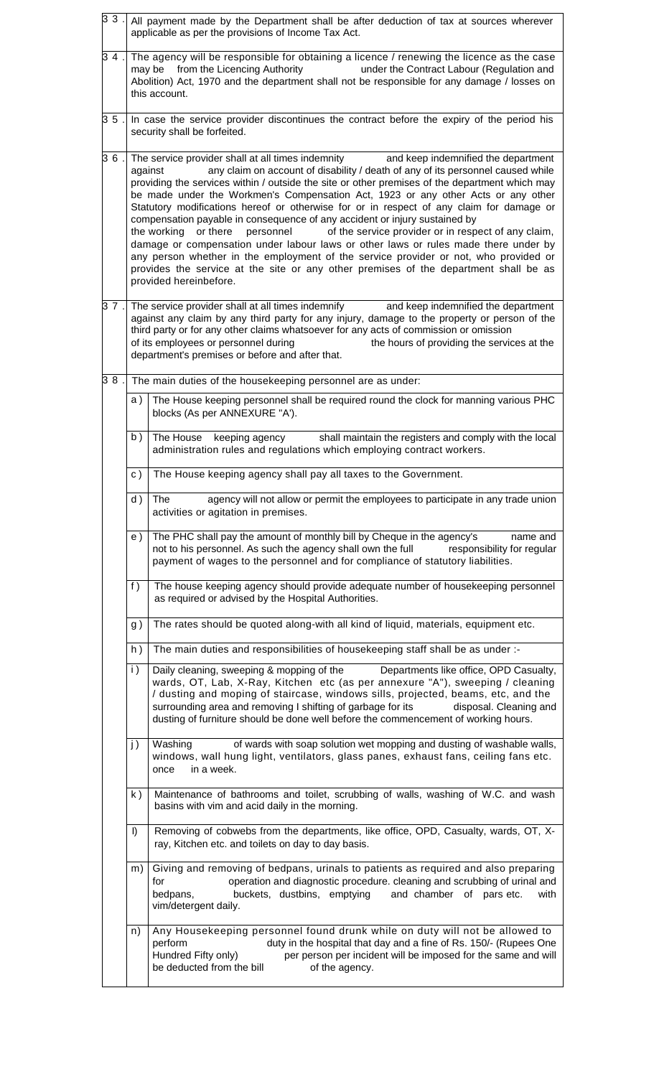| 33 .                                                                                                                                           | All payment made by the Department shall be after deduction of tax at sources wherever<br>applicable as per the provisions of Income Tax Act.                                                                                                                                                                                                                                                                                                                                                                                                                                                                                                                                                                                                                                                                                                                                                                                                        |                                                                                                                                                                                                                                                                                                                                                                                                                                         |  |  |
|------------------------------------------------------------------------------------------------------------------------------------------------|------------------------------------------------------------------------------------------------------------------------------------------------------------------------------------------------------------------------------------------------------------------------------------------------------------------------------------------------------------------------------------------------------------------------------------------------------------------------------------------------------------------------------------------------------------------------------------------------------------------------------------------------------------------------------------------------------------------------------------------------------------------------------------------------------------------------------------------------------------------------------------------------------------------------------------------------------|-----------------------------------------------------------------------------------------------------------------------------------------------------------------------------------------------------------------------------------------------------------------------------------------------------------------------------------------------------------------------------------------------------------------------------------------|--|--|
| 34                                                                                                                                             | The agency will be responsible for obtaining a licence / renewing the licence as the case<br>may be from the Licencing Authority<br>under the Contract Labour (Regulation and<br>Abolition) Act, 1970 and the department shall not be responsible for any damage / losses on<br>this account.                                                                                                                                                                                                                                                                                                                                                                                                                                                                                                                                                                                                                                                        |                                                                                                                                                                                                                                                                                                                                                                                                                                         |  |  |
| 35                                                                                                                                             | In case the service provider discontinues the contract before the expiry of the period his<br>security shall be forfeited.                                                                                                                                                                                                                                                                                                                                                                                                                                                                                                                                                                                                                                                                                                                                                                                                                           |                                                                                                                                                                                                                                                                                                                                                                                                                                         |  |  |
| 36                                                                                                                                             | The service provider shall at all times indemnity<br>and keep indemnified the department<br>any claim on account of disability / death of any of its personnel caused while<br>against<br>providing the services within / outside the site or other premises of the department which may<br>be made under the Workmen's Compensation Act, 1923 or any other Acts or any other<br>Statutory modifications hereof or otherwise for or in respect of any claim for damage or<br>compensation payable in consequence of any accident or injury sustained by<br>of the service provider or in respect of any claim,<br>the working or there<br>personnel<br>damage or compensation under labour laws or other laws or rules made there under by<br>any person whether in the employment of the service provider or not, who provided or<br>provides the service at the site or any other premises of the department shall be as<br>provided hereinbefore. |                                                                                                                                                                                                                                                                                                                                                                                                                                         |  |  |
| 37.                                                                                                                                            | The service provider shall at all times indemnify<br>and keep indemnified the department<br>against any claim by any third party for any injury, damage to the property or person of the<br>third party or for any other claims whatsoever for any acts of commission or omission<br>of its employees or personnel during<br>the hours of providing the services at the<br>department's premises or before and after that.                                                                                                                                                                                                                                                                                                                                                                                                                                                                                                                           |                                                                                                                                                                                                                                                                                                                                                                                                                                         |  |  |
| 38.                                                                                                                                            |                                                                                                                                                                                                                                                                                                                                                                                                                                                                                                                                                                                                                                                                                                                                                                                                                                                                                                                                                      | The main duties of the housekeeping personnel are as under:                                                                                                                                                                                                                                                                                                                                                                             |  |  |
|                                                                                                                                                | a )                                                                                                                                                                                                                                                                                                                                                                                                                                                                                                                                                                                                                                                                                                                                                                                                                                                                                                                                                  | The House keeping personnel shall be required round the clock for manning various PHC<br>blocks (As per ANNEXURE "A').                                                                                                                                                                                                                                                                                                                  |  |  |
|                                                                                                                                                | b)                                                                                                                                                                                                                                                                                                                                                                                                                                                                                                                                                                                                                                                                                                                                                                                                                                                                                                                                                   | keeping agency shall maintain the registers and comply with the local<br>The House<br>administration rules and regulations which employing contract workers.                                                                                                                                                                                                                                                                            |  |  |
|                                                                                                                                                | c)                                                                                                                                                                                                                                                                                                                                                                                                                                                                                                                                                                                                                                                                                                                                                                                                                                                                                                                                                   | The House keeping agency shall pay all taxes to the Government.                                                                                                                                                                                                                                                                                                                                                                         |  |  |
|                                                                                                                                                | d)                                                                                                                                                                                                                                                                                                                                                                                                                                                                                                                                                                                                                                                                                                                                                                                                                                                                                                                                                   | The<br>agency will not allow or permit the employees to participate in any trade union<br>activities or agitation in premises.                                                                                                                                                                                                                                                                                                          |  |  |
| The PHC shall pay the amount of monthly bill by Cheque in the agency's<br>e )<br>not to his personnel. As such the agency shall own the full   |                                                                                                                                                                                                                                                                                                                                                                                                                                                                                                                                                                                                                                                                                                                                                                                                                                                                                                                                                      | name and<br>responsibility for regular<br>payment of wages to the personnel and for compliance of statutory liabilities.                                                                                                                                                                                                                                                                                                                |  |  |
| The house keeping agency should provide adequate number of housekeeping personnel<br>f)<br>as required or advised by the Hospital Authorities. |                                                                                                                                                                                                                                                                                                                                                                                                                                                                                                                                                                                                                                                                                                                                                                                                                                                                                                                                                      |                                                                                                                                                                                                                                                                                                                                                                                                                                         |  |  |
|                                                                                                                                                | g)                                                                                                                                                                                                                                                                                                                                                                                                                                                                                                                                                                                                                                                                                                                                                                                                                                                                                                                                                   | The rates should be quoted along-with all kind of liquid, materials, equipment etc.                                                                                                                                                                                                                                                                                                                                                     |  |  |
|                                                                                                                                                | h)                                                                                                                                                                                                                                                                                                                                                                                                                                                                                                                                                                                                                                                                                                                                                                                                                                                                                                                                                   | The main duties and responsibilities of housekeeping staff shall be as under :-                                                                                                                                                                                                                                                                                                                                                         |  |  |
|                                                                                                                                                | $\mathsf{i}$ )                                                                                                                                                                                                                                                                                                                                                                                                                                                                                                                                                                                                                                                                                                                                                                                                                                                                                                                                       | Departments like office, OPD Casualty,<br>Daily cleaning, sweeping & mopping of the<br>wards, OT, Lab, X-Ray, Kitchen etc (as per annexure "A"), sweeping / cleaning<br>/ dusting and moping of staircase, windows sills, projected, beams, etc, and the<br>surrounding area and removing I shifting of garbage for its<br>disposal. Cleaning and<br>dusting of furniture should be done well before the commencement of working hours. |  |  |
|                                                                                                                                                | j)                                                                                                                                                                                                                                                                                                                                                                                                                                                                                                                                                                                                                                                                                                                                                                                                                                                                                                                                                   | Washing<br>of wards with soap solution wet mopping and dusting of washable walls,<br>windows, wall hung light, ventilators, glass panes, exhaust fans, ceiling fans etc.<br>in a week.<br>once                                                                                                                                                                                                                                          |  |  |
|                                                                                                                                                | k)                                                                                                                                                                                                                                                                                                                                                                                                                                                                                                                                                                                                                                                                                                                                                                                                                                                                                                                                                   | Maintenance of bathrooms and toilet, scrubbing of walls, washing of W.C. and wash<br>basins with vim and acid daily in the morning.                                                                                                                                                                                                                                                                                                     |  |  |
|                                                                                                                                                | I)                                                                                                                                                                                                                                                                                                                                                                                                                                                                                                                                                                                                                                                                                                                                                                                                                                                                                                                                                   | Removing of cobwebs from the departments, like office, OPD, Casualty, wards, OT, X-<br>ray, Kitchen etc. and toilets on day to day basis.                                                                                                                                                                                                                                                                                               |  |  |
|                                                                                                                                                | m)                                                                                                                                                                                                                                                                                                                                                                                                                                                                                                                                                                                                                                                                                                                                                                                                                                                                                                                                                   | Giving and removing of bedpans, urinals to patients as required and also preparing<br>operation and diagnostic procedure. cleaning and scrubbing of urinal and<br>for<br>bedpans,<br>buckets, dustbins, emptying<br>and chamber of pars etc.<br>with<br>vim/detergent daily.                                                                                                                                                            |  |  |
|                                                                                                                                                | n)                                                                                                                                                                                                                                                                                                                                                                                                                                                                                                                                                                                                                                                                                                                                                                                                                                                                                                                                                   | Any Housekeeping personnel found drunk while on duty will not be allowed to<br>perform<br>duty in the hospital that day and a fine of Rs. 150/- (Rupees One<br>Hundred Fifty only)<br>per person per incident will be imposed for the same and will<br>be deducted from the bill<br>of the agency.                                                                                                                                      |  |  |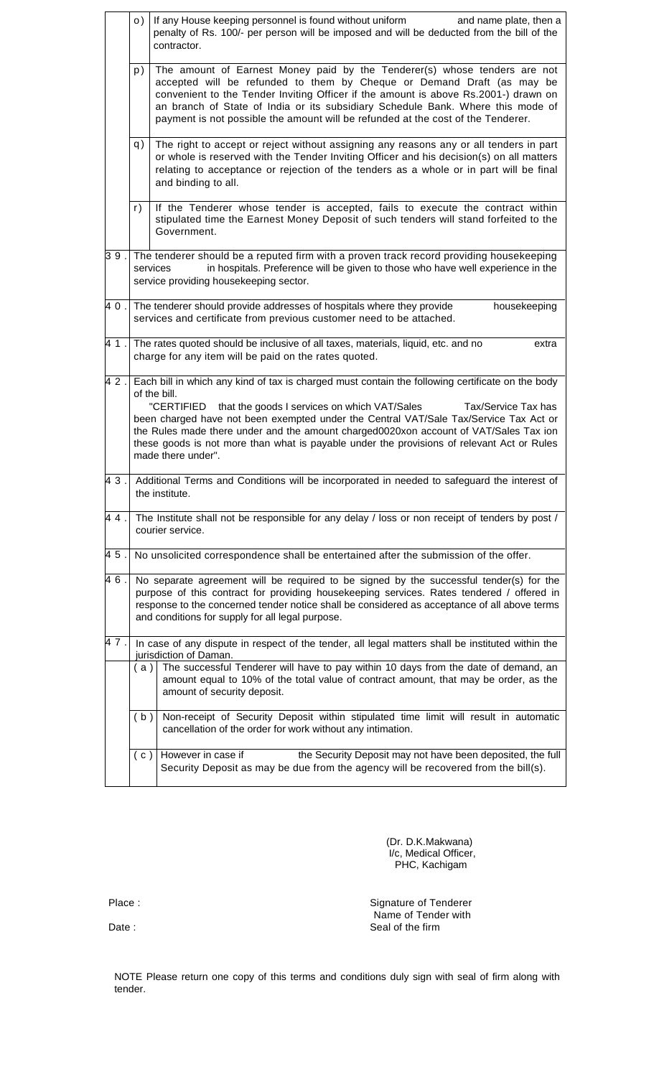|     | o)                                                                                                                                                                                                                                                                                                                                                                                                                                                                                                          | If any House keeping personnel is found without uniform<br>and name plate, then a<br>penalty of Rs. 100/- per person will be imposed and will be deducted from the bill of the<br>contractor.                                                                                                       |  |  |  |  |
|-----|-------------------------------------------------------------------------------------------------------------------------------------------------------------------------------------------------------------------------------------------------------------------------------------------------------------------------------------------------------------------------------------------------------------------------------------------------------------------------------------------------------------|-----------------------------------------------------------------------------------------------------------------------------------------------------------------------------------------------------------------------------------------------------------------------------------------------------|--|--|--|--|
|     | The amount of Earnest Money paid by the Tenderer(s) whose tenders are not<br>p)<br>accepted will be refunded to them by Cheque or Demand Draft (as may be<br>convenient to the Tender Inviting Officer if the amount is above Rs.2001-) drawn on<br>an branch of State of India or its subsidiary Schedule Bank. Where this mode of<br>payment is not possible the amount will be refunded at the cost of the Tenderer.                                                                                     |                                                                                                                                                                                                                                                                                                     |  |  |  |  |
|     | q)                                                                                                                                                                                                                                                                                                                                                                                                                                                                                                          | The right to accept or reject without assigning any reasons any or all tenders in part<br>or whole is reserved with the Tender Inviting Officer and his decision(s) on all matters<br>relating to acceptance or rejection of the tenders as a whole or in part will be final<br>and binding to all. |  |  |  |  |
|     | r)                                                                                                                                                                                                                                                                                                                                                                                                                                                                                                          | If the Tenderer whose tender is accepted, fails to execute the contract within<br>stipulated time the Earnest Money Deposit of such tenders will stand forfeited to the<br>Government.                                                                                                              |  |  |  |  |
| 39. | The tenderer should be a reputed firm with a proven track record providing housekeeping<br>in hospitals. Preference will be given to those who have well experience in the<br>services<br>service providing housekeeping sector.                                                                                                                                                                                                                                                                            |                                                                                                                                                                                                                                                                                                     |  |  |  |  |
| 40. | The tenderer should provide addresses of hospitals where they provide<br>housekeeping<br>services and certificate from previous customer need to be attached.                                                                                                                                                                                                                                                                                                                                               |                                                                                                                                                                                                                                                                                                     |  |  |  |  |
| 41. | The rates quoted should be inclusive of all taxes, materials, liquid, etc. and no<br>extra<br>charge for any item will be paid on the rates quoted.                                                                                                                                                                                                                                                                                                                                                         |                                                                                                                                                                                                                                                                                                     |  |  |  |  |
| 42. | Each bill in which any kind of tax is charged must contain the following certificate on the body<br>of the bill.<br>"CERTIFIED<br>that the goods I services on which VAT/Sales<br>Tax/Service Tax has<br>been charged have not been exempted under the Central VAT/Sale Tax/Service Tax Act or<br>the Rules made there under and the amount charged0020xon account of VAT/Sales Tax ion<br>these goods is not more than what is payable under the provisions of relevant Act or Rules<br>made there under". |                                                                                                                                                                                                                                                                                                     |  |  |  |  |
| 43. | Additional Terms and Conditions will be incorporated in needed to safeguard the interest of<br>the institute.                                                                                                                                                                                                                                                                                                                                                                                               |                                                                                                                                                                                                                                                                                                     |  |  |  |  |
| 44. | The Institute shall not be responsible for any delay / loss or non receipt of tenders by post /<br>courier service.                                                                                                                                                                                                                                                                                                                                                                                         |                                                                                                                                                                                                                                                                                                     |  |  |  |  |
| 45. | No unsolicited correspondence shall be entertained after the submission of the offer.                                                                                                                                                                                                                                                                                                                                                                                                                       |                                                                                                                                                                                                                                                                                                     |  |  |  |  |
| 46. | No separate agreement will be required to be signed by the successful tender(s) for the<br>purpose of this contract for providing housekeeping services. Rates tendered / offered in<br>response to the concerned tender notice shall be considered as acceptance of all above terms<br>and conditions for supply for all legal purpose.                                                                                                                                                                    |                                                                                                                                                                                                                                                                                                     |  |  |  |  |
| 47. | In case of any dispute in respect of the tender, all legal matters shall be instituted within the<br>jurisdiction of Daman.                                                                                                                                                                                                                                                                                                                                                                                 |                                                                                                                                                                                                                                                                                                     |  |  |  |  |
|     | The successful Tenderer will have to pay within 10 days from the date of demand, an<br>(a)<br>amount equal to 10% of the total value of contract amount, that may be order, as the<br>amount of security deposit.                                                                                                                                                                                                                                                                                           |                                                                                                                                                                                                                                                                                                     |  |  |  |  |
|     | (b)                                                                                                                                                                                                                                                                                                                                                                                                                                                                                                         | Non-receipt of Security Deposit within stipulated time limit will result in automatic<br>cancellation of the order for work without any intimation.                                                                                                                                                 |  |  |  |  |
|     | (c)                                                                                                                                                                                                                                                                                                                                                                                                                                                                                                         | However in case if<br>the Security Deposit may not have been deposited, the full<br>Security Deposit as may be due from the agency will be recovered from the bill(s).                                                                                                                              |  |  |  |  |

 (Dr. D.K.Makwana) I/c, Medical Officer, PHC, Kachigam

Place : Signature of Tenderer Name of Tender with Date : Seal of the firm

NOTE Please return one copy of this terms and conditions duly sign with seal of firm along with tender.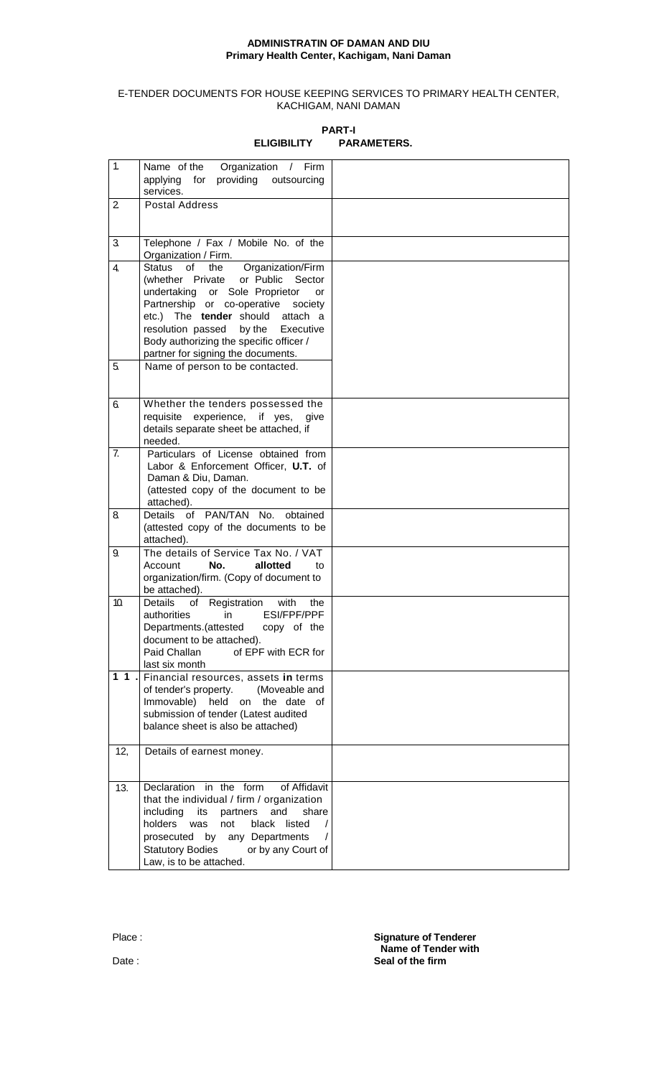## **ADMINISTRATIN OF DAMAN AND DIU Primary Health Center, Kachigam, Nani Daman**

## E-TENDER DOCUMENTS FOR HOUSE KEEPING SERVICES TO PRIMARY HEALTH CENTER, KACHIGAM, NANI DAMAN

| 1.                | Name of the<br>Organization / Firm<br>providing outsourcing<br>applying for<br>services.                                                                                                                                                                                                                                            |  |
|-------------------|-------------------------------------------------------------------------------------------------------------------------------------------------------------------------------------------------------------------------------------------------------------------------------------------------------------------------------------|--|
| 2                 | <b>Postal Address</b>                                                                                                                                                                                                                                                                                                               |  |
| 3                 | Telephone / Fax / Mobile No. of the<br>Organization / Firm.                                                                                                                                                                                                                                                                         |  |
| 4.                | Organization/Firm<br>Status<br>of<br>the<br>(whether Private or Public<br>Sector<br>undertaking or Sole Proprietor<br>or<br>Partnership or co-operative<br>society<br>etc.) The tender should attach a<br>resolution passed<br>by the<br>Executive<br>Body authorizing the specific officer /<br>partner for signing the documents. |  |
| 5.                | Name of person to be contacted.                                                                                                                                                                                                                                                                                                     |  |
| 6.                | Whether the tenders possessed the<br>requisite experience, if yes,<br>give<br>details separate sheet be attached, if<br>needed.                                                                                                                                                                                                     |  |
| 7.                | Particulars of License obtained from<br>Labor & Enforcement Officer, U.T. of<br>Daman & Diu, Daman.<br>(attested copy of the document to be<br>attached).                                                                                                                                                                           |  |
| 8                 | Details of PAN/TAN No. obtained<br>(attested copy of the documents to be<br>attached).                                                                                                                                                                                                                                              |  |
| 9.                | The details of Service Tax No. / VAT<br>Account<br>No.<br>allotted<br>to<br>organization/firm. (Copy of document to<br>be attached).                                                                                                                                                                                                |  |
| 10.               | Details<br>Registration<br>with<br>of<br>the<br>in<br>ESI/FPF/PPF<br>authorities<br>Departments.(attested copy of the<br>document to be attached).<br>Paid Challan<br>of EPF with ECR for<br>last six month                                                                                                                         |  |
| $\overline{1}$ 1. | Financial resources, assets in terms<br>of tender's property. (Moveable and<br>Immovable) held on the date of<br>submission of tender (Latest audited<br>balance sheet is also be attached)                                                                                                                                         |  |
| 12,               | Details of earnest money.                                                                                                                                                                                                                                                                                                           |  |
| 13.               | Declaration in the form<br>of Affidavit<br>that the individual / firm / organization<br>including<br>its<br>partners and<br>share<br>holders was<br>not<br>black<br>listed<br>prosecuted by any Departments<br><b>Statutory Bodies</b><br>or by any Court of<br>Law, is to be attached.                                             |  |

**PART-I ELIGIBILITY PARAMETERS.**

Place : **Signature of Tenderer** Secretary **Signature of Tenderer Name of Tender with** Date : **Seal of the firm**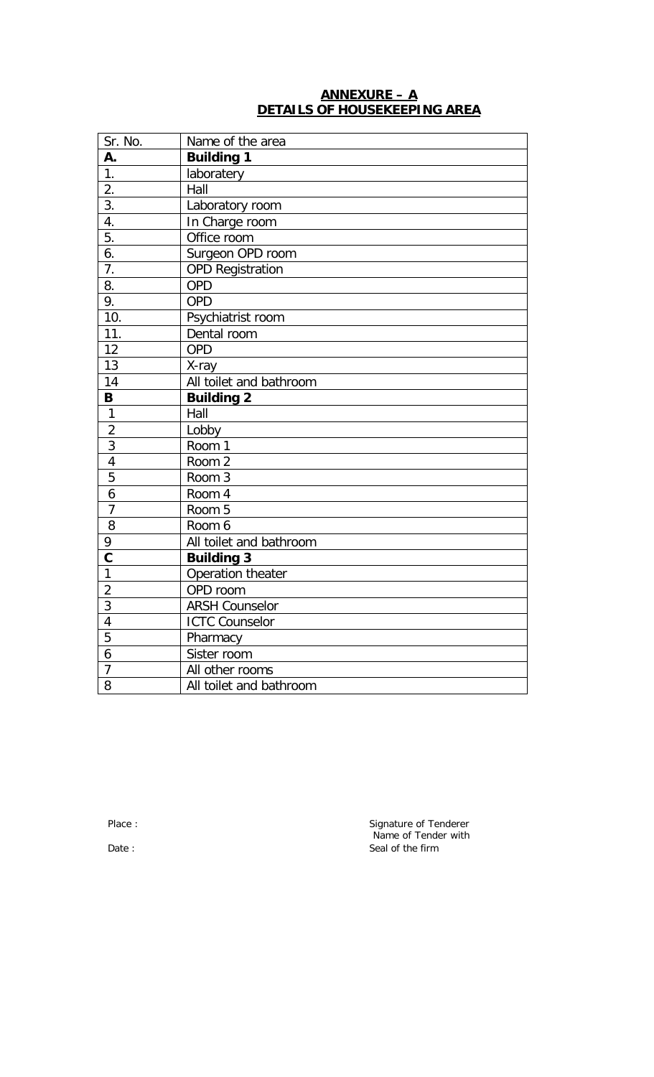## **ANNEXURE – A DETAILS OF HOUSEKEEPING AREA**

| Sr. No.                 | Name of the area        |
|-------------------------|-------------------------|
| А.                      | <b>Building 1</b>       |
| 1.                      | laboratery              |
| 2.                      | Hall                    |
| $\overline{3}$ .        | Laboratory room         |
| 4.                      | In Charge room          |
| 5.                      | Office room             |
| 6.                      | Surgeon OPD room        |
| 7.                      | <b>OPD Registration</b> |
| 8.                      | <b>OPD</b>              |
| 9.                      | <b>OPD</b>              |
| 10.                     | Psychiatrist room       |
| 11.                     | Dental room             |
| 12                      | <b>OPD</b>              |
| 13                      | X-ray                   |
| 14                      | All toilet and bathroom |
| B                       | <b>Building 2</b>       |
| $\mathbf{1}$            | Hall                    |
| $\overline{2}$          | Lobby                   |
| $\overline{3}$          | Room 1                  |
| $\overline{4}$          | Room 2                  |
| 5                       | Room 3                  |
| $\ddot{\mathbf{6}}$     | Room 4                  |
| $\overline{7}$          | Room 5                  |
| 8                       | Room 6                  |
| 9                       | All toilet and bathroom |
| $\overline{\mathbf{c}}$ | <b>Building 3</b>       |
| $\overline{1}$          | Operation theater       |
| $\overline{2}$          | OPD room                |
| 3                       | <b>ARSH Counselor</b>   |
| $\overline{4}$          | <b>ICTC Counselor</b>   |
| 5                       | Pharmacy                |
| 6                       | Sister room             |
| $\overline{7}$          | All other rooms         |
| 8                       | All toilet and bathroom |

Place : Signature of Tenderer Name of Tender with Date : Seal of the firm